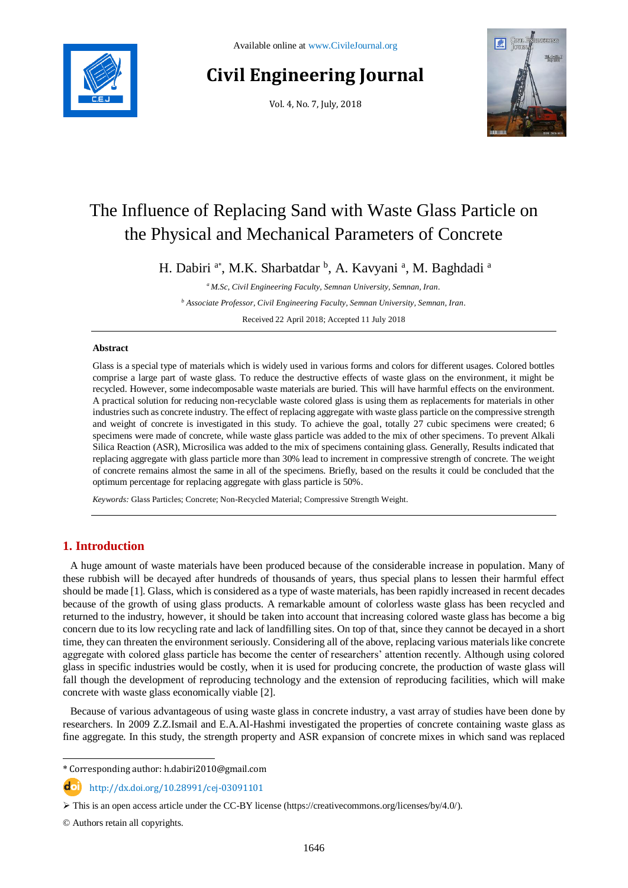

# **Civil Engineering Journal**

Vol. 4, No. 7, July, 2018



# The Influence of Replacing Sand with Waste Glass Particle on the Physical and Mechanical Parameters of Concrete

H. Dabiri <sup>a\*</sup>, M.K. Sharbatdar <sup>b</sup>, A. Kavyani<sup>a</sup>, M. Baghdadi<sup>a</sup>

*<sup>a</sup> M.Sc, Civil Engineering Faculty, Semnan University, Semnan, Iran.*

*<sup>b</sup> Associate Professor, Civil Engineering Faculty, Semnan University, Semnan, Iran.*

Received 22 April 2018; Accepted 11 July 2018

#### **Abstract**

Glass is a special type of materials which is widely used in various forms and colors for different usages. Colored bottles comprise a large part of waste glass. To reduce the destructive effects of waste glass on the environment, it might be recycled. However, some indecomposable waste materials are buried. This will have harmful effects on the environment. A practical solution for reducing non-recyclable waste colored glass is using them as replacements for materials in other industries such as concrete industry. The effect of replacing aggregate with waste glass particle on the compressive strength and weight of concrete is investigated in this study. To achieve the goal, totally 27 cubic specimens were created; 6 specimens were made of concrete, while waste glass particle was added to the mix of other specimens. To prevent Alkali Silica Reaction (ASR), Microsilica was added to the mix of specimens containing glass. Generally, Results indicated that replacing aggregate with glass particle more than 30% lead to increment in compressive strength of concrete. The weight of concrete remains almost the same in all of the specimens. Briefly, based on the results it could be concluded that the optimum percentage for replacing aggregate with glass particle is 50%.

*Keywords:* Glass Particles; Concrete; Non-Recycled Material; Compressive Strength Weight.

# **1. Introduction**

A huge amount of waste materials have been produced because of the considerable increase in population. Many of these rubbish will be decayed after hundreds of thousands of years, thus special plans to lessen their harmful effect should be made [1]. Glass, which is considered as a type of waste materials, has been rapidly increased in recent decades because of the growth of using glass products. A remarkable amount of colorless waste glass has been recycled and returned to the industry, however, it should be taken into account that increasing colored waste glass has become a big concern due to its low recycling rate and lack of landfilling sites. On top of that, since they cannot be decayed in a short time, they can threaten the environment seriously. Considering all of the above, replacing various materials like concrete aggregate with colored glass particle has become the center of researchers' attention recently. Although using colored glass in specific industries would be costly, when it is used for producing concrete, the production of waste glass will fall though the development of reproducing technology and the extension of reproducing facilities, which will make concrete with waste glass economically viable [2].

Because of various advantageous of using waste glass in concrete industry, a vast array of studies have been done by researchers. In 2009 Z.Z.Ismail and E.A.Al-Hashmi investigated the properties of concrete containing waste glass as fine aggregate. In this study, the strength property and ASR expansion of concrete mixes in which sand was replaced

\* Corresponding author: h.dabiri2010@gmail.com

http://dx.doi.org/10.28991/cej-03091101

© Authors retain all copyrights.

l

 $\triangleright$  This is an open access article under the CC-BY license [\(https://creativecommons.org/licenses/by/4.0/\)](https://creativecommons.org/licenses/by/4.0/).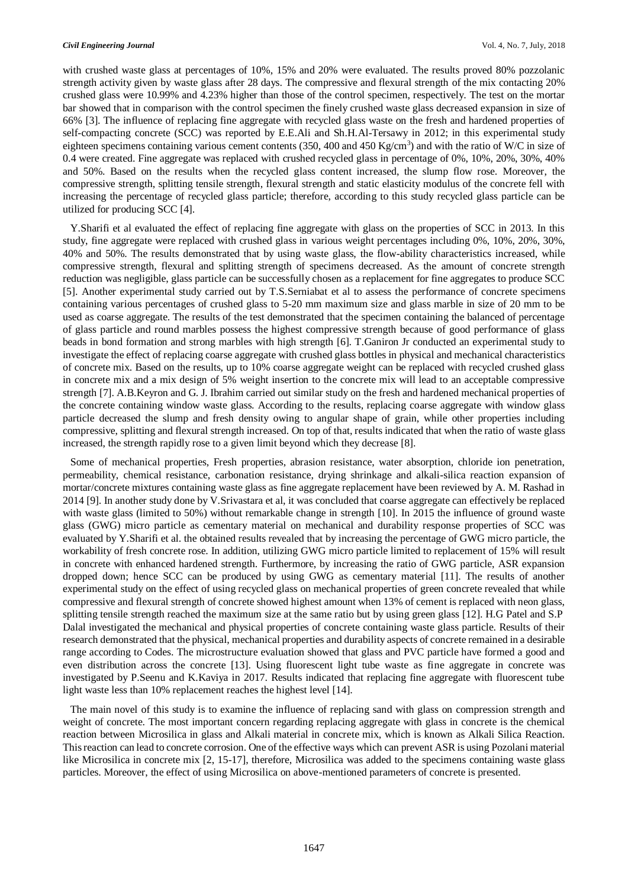with crushed waste glass at percentages of 10%, 15% and 20% were evaluated. The results proved 80% pozzolanic strength activity given by waste glass after 28 days. The compressive and flexural strength of the mix contacting 20% crushed glass were 10.99% and 4.23% higher than those of the control specimen, respectively. The test on the mortar bar showed that in comparison with the control specimen the finely crushed waste glass decreased expansion in size of 66% [3]. The influence of replacing fine aggregate with recycled glass waste on the fresh and hardened properties of self-compacting concrete (SCC) was reported by E.E.Ali and Sh.H.Al-Tersawy in 2012; in this experimental study eighteen specimens containing various cement contents (350, 400 and 450 Kg/cm<sup>3</sup>) and with the ratio of W/C in size of 0.4 were created. Fine aggregate was replaced with crushed recycled glass in percentage of 0%, 10%, 20%, 30%, 40% and 50%. Based on the results when the recycled glass content increased, the slump flow rose. Moreover, the compressive strength, splitting tensile strength, flexural strength and static elasticity modulus of the concrete fell with increasing the percentage of recycled glass particle; therefore, according to this study recycled glass particle can be utilized for producing SCC [4].

Y.Sharifi et al evaluated the effect of replacing fine aggregate with glass on the properties of SCC in 2013. In this study, fine aggregate were replaced with crushed glass in various weight percentages including 0%, 10%, 20%, 30%, 40% and 50%. The results demonstrated that by using waste glass, the flow-ability characteristics increased, while compressive strength, flexural and splitting strength of specimens decreased. As the amount of concrete strength reduction was negligible, glass particle can be successfully chosen as a replacement for fine aggregates to produce SCC [5]. Another experimental study carried out by T.S.Serniabat et al to assess the performance of concrete specimens containing various percentages of crushed glass to 5-20 mm maximum size and glass marble in size of 20 mm to be used as coarse aggregate. The results of the test demonstrated that the specimen containing the balanced of percentage of glass particle and round marbles possess the highest compressive strength because of good performance of glass beads in bond formation and strong marbles with high strength [6]. T.Ganiron Jr conducted an experimental study to investigate the effect of replacing coarse aggregate with crushed glass bottles in physical and mechanical characteristics of concrete mix. Based on the results, up to 10% coarse aggregate weight can be replaced with recycled crushed glass in concrete mix and a mix design of 5% weight insertion to the concrete mix will lead to an acceptable compressive strength [7]. A.B.Keyron and G. J. Ibrahim carried out similar study on the fresh and hardened mechanical properties of the concrete containing window waste glass. According to the results, replacing coarse aggregate with window glass particle decreased the slump and fresh density owing to angular shape of grain, while other properties including compressive, splitting and flexural strength increased. On top of that, results indicated that when the ratio of waste glass increased, the strength rapidly rose to a given limit beyond which they decrease [8].

Some of mechanical properties, Fresh properties, abrasion resistance, water absorption, chloride ion penetration, permeability, chemical resistance, carbonation resistance, drying shrinkage and alkali-silica reaction expansion of mortar/concrete mixtures containing waste glass as fine aggregate replacement have been reviewed by A. M. Rashad in 2014 [9]. In another study done by V.Srivastara et al, it was concluded that coarse aggregate can effectively be replaced with waste glass (limited to 50%) without remarkable change in strength [10]. In 2015 the influence of ground waste glass (GWG) micro particle as cementary material on mechanical and durability response properties of SCC was evaluated by Y.Sharifi et al. the obtained results revealed that by increasing the percentage of GWG micro particle, the workability of fresh concrete rose. In addition, utilizing GWG micro particle limited to replacement of 15% will result in concrete with enhanced hardened strength. Furthermore, by increasing the ratio of GWG particle, ASR expansion dropped down; hence SCC can be produced by using GWG as cementary material [11]. The results of another experimental study on the effect of using recycled glass on mechanical properties of green concrete revealed that while compressive and flexural strength of concrete showed highest amount when 13% of cement is replaced with neon glass, splitting tensile strength reached the maximum size at the same ratio but by using green glass [12]. H.G Patel and S.P Dalal investigated the mechanical and physical properties of concrete containing waste glass particle. Results of their research demonstrated that the physical, mechanical properties and durability aspects of concrete remained in a desirable range according to Codes. The microstructure evaluation showed that glass and PVC particle have formed a good and even distribution across the concrete [13]. Using fluorescent light tube waste as fine aggregate in concrete was investigated by P.Seenu and K.Kaviya in 2017. Results indicated that replacing fine aggregate with fluorescent tube light waste less than 10% replacement reaches the highest level [14].

The main novel of this study is to examine the influence of replacing sand with glass on compression strength and weight of concrete. The most important concern regarding replacing aggregate with glass in concrete is the chemical reaction between Microsilica in glass and Alkali material in concrete mix, which is known as Alkali Silica Reaction. This reaction can lead to concrete corrosion. One of the effective ways which can prevent ASR is using Pozolani material like Microsilica in concrete mix [2, 15-17], therefore, Microsilica was added to the specimens containing waste glass particles. Moreover, the effect of using Microsilica on above-mentioned parameters of concrete is presented.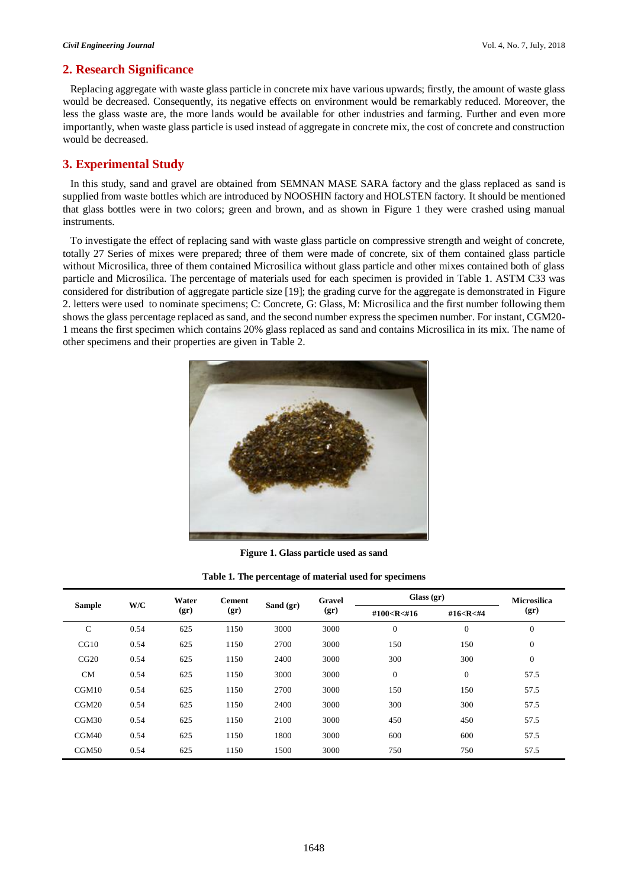### **2. Research Significance**

Replacing aggregate with waste glass particle in concrete mix have various upwards; firstly, the amount of waste glass would be decreased. Consequently, its negative effects on environment would be remarkably reduced. Moreover, the less the glass waste are, the more lands would be available for other industries and farming. Further and even more importantly, when waste glass particle is used instead of aggregate in concrete mix, the cost of concrete and construction would be decreased.

#### **3. Experimental Study**

In this study, sand and gravel are obtained from SEMNAN MASE SARA factory and the glass replaced as sand is supplied from waste bottles which are introduced by NOOSHIN factory and HOLSTEN factory. It should be mentioned that glass bottles were in two colors; green and brown, and as shown in Figure 1 they were crashed using manual instruments.

To investigate the effect of replacing sand with waste glass particle on compressive strength and weight of concrete, totally 27 Series of mixes were prepared; three of them were made of concrete, six of them contained glass particle without Microsilica, three of them contained Microsilica without glass particle and other mixes contained both of glass particle and Microsilica. The percentage of materials used for each specimen is provided in Table 1. ASTM C33 was considered for distribution of aggregate particle size [19]; the grading curve for the aggregate is demonstrated in Figure 2. letters were used to nominate specimens; C: Concrete, G: Glass, M: Microsilica and the first number following them shows the glass percentage replaced as sand, and the second number express the specimen number. For instant, CGM20- 1 means the first specimen which contains 20% glass replaced as sand and contains Microsilica in its mix. The name of other specimens and their properties are given in Table 2.



**Figure 1. Glass particle used as sand**

**Table 1. The percentage of material used for specimens**

| <b>Sample</b> | W/C  | Water<br>(qr) | <b>Cement</b><br>(qr) | Sand $(gr)$ | Gravel<br>(gr) | Glass $(gr)$                                                                                     |                                                              | <b>Microsilica</b> |
|---------------|------|---------------|-----------------------|-------------|----------------|--------------------------------------------------------------------------------------------------|--------------------------------------------------------------|--------------------|
|               |      |               |                       |             |                | #100 <r<#16< th=""><th>#16<r<#4< th=""><th><math>(\mathbf{gr})</math></th></r<#4<></th></r<#16<> | #16 <r<#4< th=""><th><math>(\mathbf{gr})</math></th></r<#4<> | $(\mathbf{gr})$    |
| $\mathsf{C}$  | 0.54 | 625           | 1150                  | 3000        | 3000           | $\mathbf{0}$                                                                                     | $\mathbf{0}$                                                 | $\mathbf{0}$       |
| CG10          | 0.54 | 625           | 1150                  | 2700        | 3000           | 150                                                                                              | 150                                                          | $\mathbf{0}$       |
| CG20          | 0.54 | 625           | 1150                  | 2400        | 3000           | 300                                                                                              | 300                                                          | $\mathbf{0}$       |
| CM            | 0.54 | 625           | 1150                  | 3000        | 3000           | $\boldsymbol{0}$                                                                                 | $\mathbf{0}$                                                 | 57.5               |
| CGM10         | 0.54 | 625           | 1150                  | 2700        | 3000           | 150                                                                                              | 150                                                          | 57.5               |
| CGM20         | 0.54 | 625           | 1150                  | 2400        | 3000           | 300                                                                                              | 300                                                          | 57.5               |
| CGM30         | 0.54 | 625           | 1150                  | 2100        | 3000           | 450                                                                                              | 450                                                          | 57.5               |
| CGM40         | 0.54 | 625           | 1150                  | 1800        | 3000           | 600                                                                                              | 600                                                          | 57.5               |
| CGM50         | 0.54 | 625           | 1150                  | 1500        | 3000           | 750                                                                                              | 750                                                          | 57.5               |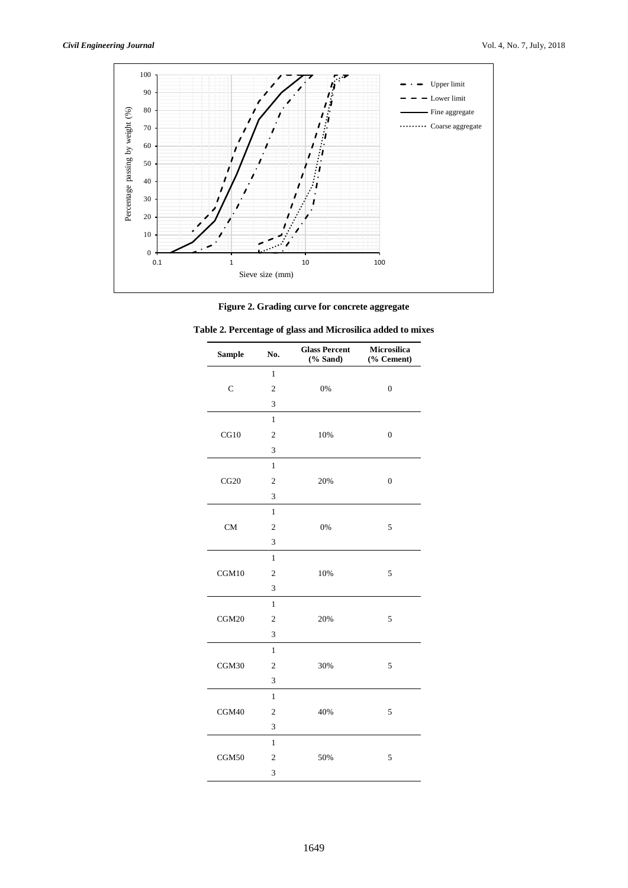

#### **Figure 2. Grading curve for concrete aggregate**

| <b>Sample</b> | No.            | <b>Glass Percent</b><br>$(% \mathbf{A})$ (% Sand) | Microsilica<br>(% Cement) |
|---------------|----------------|---------------------------------------------------|---------------------------|
|               | $\mathbf{1}$   |                                                   |                           |
| $\mathcal{C}$ | $\overline{2}$ | 0%                                                | $\overline{0}$            |
|               | 3              |                                                   |                           |
|               | $\mathbf{1}$   |                                                   |                           |
| CG10          | $\overline{2}$ | 10%                                               | $\overline{0}$            |
|               | 3              |                                                   |                           |
|               | $\mathbf{1}$   |                                                   |                           |
| CG20          | $\overline{2}$ | 20%                                               | $\boldsymbol{0}$          |
|               | 3              |                                                   |                           |
|               | $\mathbf{1}$   |                                                   |                           |
| <b>CM</b>     | $\overline{2}$ | 0%                                                | 5                         |
|               | 3              |                                                   |                           |
|               | $\mathbf{1}$   |                                                   |                           |
| CGM10         | $\overline{2}$ | 10%                                               | 5                         |
|               | 3              |                                                   |                           |
|               | $\mathbf{1}$   |                                                   |                           |
| CGM20         | $\overline{c}$ | 20%                                               | 5                         |
|               | 3              |                                                   |                           |
|               | $\mathbf{1}$   |                                                   |                           |
| CGM30         | $\overline{c}$ | 30%                                               | 5                         |
|               | 3              |                                                   |                           |
|               | $\mathbf{1}$   |                                                   |                           |
| CGM40         | $\overline{c}$ | 40%                                               | 5                         |
|               | 3              |                                                   |                           |
|               | $\mathbf{1}$   |                                                   |                           |
| CGM50         | $\overline{c}$ | 50%                                               | 5                         |
|               | 3              |                                                   |                           |

| Table 2. Percentage of glass and Microsilica added to mixes |  |
|-------------------------------------------------------------|--|
|-------------------------------------------------------------|--|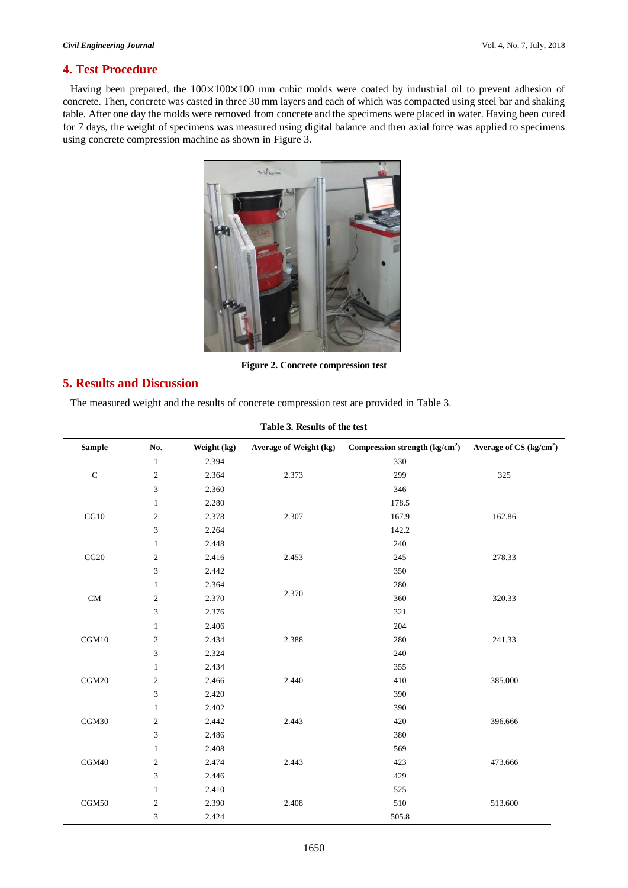# **4. Test Procedure**

Having been prepared, the  $100\times100\times100$  mm cubic molds were coated by industrial oil to prevent adhesion of concrete. Then, concrete was casted in three 30 mm layers and each of which was compacted using steel bar and shaking table. After one day the molds were removed from concrete and the specimens were placed in water. Having been cured for 7 days, the weight of specimens was measured using digital balance and then axial force was applied to specimens using concrete compression machine as shown in Figure 3.



**Figure 2. Concrete compression test**

#### **5. Results and Discussion**

The measured weight and the results of concrete compression test are provided in Table 3.

| Tuble of Hebland of the test |                |             |                        |                                 |                          |  |
|------------------------------|----------------|-------------|------------------------|---------------------------------|--------------------------|--|
| <b>Sample</b>                | No.            | Weight (kg) | Average of Weight (kg) | Compression strength $(kg/cm2)$ | Average of $CS (kg/cm2)$ |  |
|                              | $\mathbf{1}$   | 2.394       |                        | 330                             |                          |  |
| ${\bf C}$                    | $\sqrt{2}$     | 2.364       | 2.373                  | 299                             | 325                      |  |
|                              | 3              | 2.360       |                        | 346                             |                          |  |
|                              | $\mathbf{1}$   | 2.280       |                        | 178.5                           |                          |  |
| CG10                         | $\sqrt{2}$     | 2.378       | 2.307                  | 167.9                           | 162.86                   |  |
|                              | 3              | 2.264       |                        | 142.2                           |                          |  |
|                              | $\mathbf{1}$   | 2.448       |                        | 240                             |                          |  |
| CG20                         | $\overline{2}$ | 2.416       | 2.453                  | 245                             | 278.33                   |  |
|                              | 3              | 2.442       |                        | 350                             |                          |  |
|                              | $\mathbf{1}$   | 2.364       |                        | 280                             |                          |  |
| $\rm CM$                     | $\sqrt{2}$     | 2.370       | 2.370                  | 360                             | 320.33                   |  |
|                              | 3              | 2.376       |                        | 321                             |                          |  |
|                              | $\mathbf{1}$   | 2.406       |                        | 204                             |                          |  |
| CGM10                        | $\sqrt{2}$     | 2.434       | 2.388                  | 280                             | 241.33                   |  |
|                              | 3              | 2.324       |                        | 240                             |                          |  |
|                              | $\mathbf{1}$   | 2.434       |                        | 355                             |                          |  |
| CGM20                        | $\sqrt{2}$     | 2.466       | 2.440                  | 410                             | 385.000                  |  |
|                              | $\mathfrak{Z}$ | 2.420       |                        | 390                             |                          |  |
|                              | $\mathbf{1}$   | 2.402       |                        | 390                             |                          |  |
| CGM30                        | $\sqrt{2}$     | 2.442       | 2.443                  | 420                             | 396.666                  |  |
|                              | 3              | 2.486       |                        | 380                             |                          |  |
|                              | $\,1$          | 2.408       |                        | 569                             |                          |  |
| CGM40                        | $\sqrt{2}$     | 2.474       | 2.443                  | 423                             | 473.666                  |  |
|                              | 3              | 2.446       |                        | 429                             |                          |  |
|                              | $\mathbf{1}$   | 2.410       |                        | 525                             |                          |  |
| CGM50                        | $\sqrt{2}$     | 2.390       | 2.408                  | 510                             | 513.600                  |  |
|                              | 3              | 2.424       |                        | 505.8                           |                          |  |

#### **Table 3. Results of the test**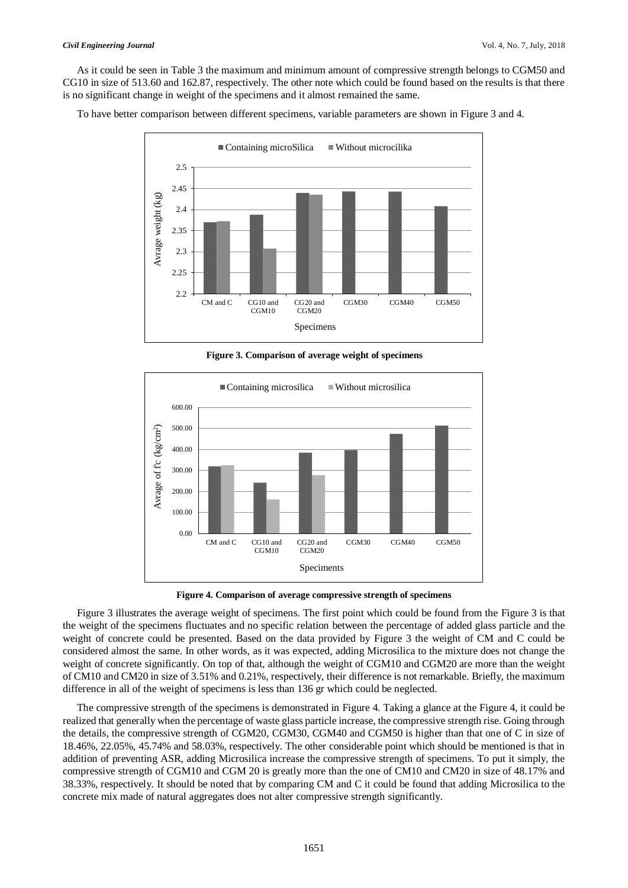As it could be seen in Table 3 the maximum and minimum amount of compressive strength belongs to CGM50 and CG10 in size of 513.60 and 162.87, respectively. The other note which could be found based on the results is that there is no significant change in weight of the specimens and it almost remained the same.

To have better comparison between different specimens, variable parameters are shown in Figure 3 and 4.



**Figure 3. Comparison of average weight of specimens**



**Figure 4. Comparison of average compressive strength of specimens**

Figure 3 illustrates the average weight of specimens. The first point which could be found from the Figure 3 is that the weight of the specimens fluctuates and no specific relation between the percentage of added glass particle and the weight of concrete could be presented. Based on the data provided by Figure 3 the weight of CM and C could be considered almost the same. In other words, as it was expected, adding Microsilica to the mixture does not change the weight of concrete significantly. On top of that, although the weight of CGM10 and CGM20 are more than the weight of CM10 and CM20 in size of 3.51% and 0.21%, respectively, their difference is not remarkable. Briefly, the maximum difference in all of the weight of specimens is less than 136 gr which could be neglected.

The compressive strength of the specimens is demonstrated in Figure 4. Taking a glance at the Figure 4, it could be realized that generally when the percentage of waste glass particle increase, the compressive strength rise. Going through the details, the compressive strength of CGM20, CGM30, CGM40 and CGM50 is higher than that one of C in size of 18.46%, 22.05%, 45.74% and 58.03%, respectively. The other considerable point which should be mentioned is that in addition of preventing ASR, adding Microsilica increase the compressive strength of specimens. To put it simply, the compressive strength of CGM10 and CGM 20 is greatly more than the one of CM10 and CM20 in size of 48.17% and 38.33%, respectively. It should be noted that by comparing CM and C it could be found that adding Microsilica to the concrete mix made of natural aggregates does not alter compressive strength significantly.